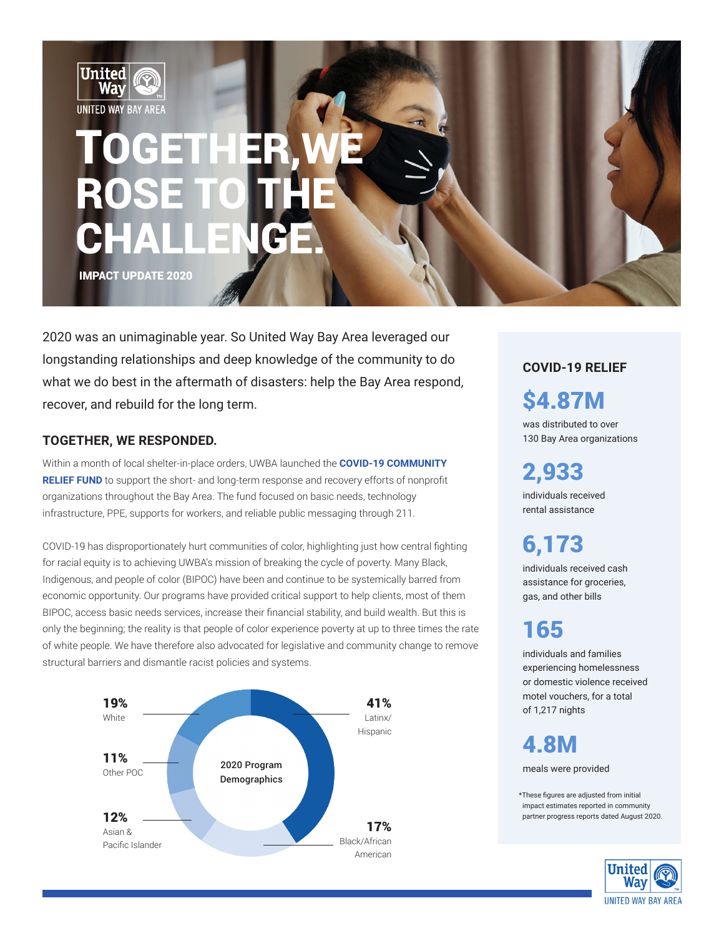

2020 was an unimaginable year. So United Way Bay Area leveraged our longstanding relationships and deep knowledge of the community to do what we do best in the aftermath of disasters: help the Bay Area respond, recover, and rebuild for the long term.  $\mathbf{S4.87M}$ 

### **TOGETHER, WE RESPONDED.**

Within a month of local shelter-in-place orders, UWBA launched the **[COVID-19 COMMUNITY](https://uwba.org/covid19fund/)  [RELIEF FUND](https://uwba.org/covid19fund/)** to support the short- and long-term response and recovery efforts of nonprofit organizations throughout the Bay Area. The fund focused on basic needs, technology infrastructure, PPE, supports for workers, and reliable public messaging through 211.

COVID-19 has disproportionately hurt communities of color, highlighting just how central fighting for racial equity is to achieving UWBA's mission of breaking the cycle of poverty. Many Black, Indigenous, and people of color (BIPOC) have been and continue to be systemically barred from economic opportunity. Our programs have provided critical support to help clients, most of them BIPOC, access basic needs services, increase their financial stability, and build wealth. But this is only the beginning; the reality is that people of color experience poverty at up to three times the rate of white people. We have therefore also advocated for legislative and community change to remove structural barriers and dismantle racist policies and systems.



**COVID-19 RELIEF**

was distributed to over 130 Bay Area organizations

2,933 individuals received

rental assistance 6,173

individuals received cash assistance for groceries, gas, and other bills

# 165

individuals and families experiencing homelessness or domestic violence received motel vouchers, for a total of 1,217 nights

4.8M meals were provided

\*These figures are adjusted from initial impact estimates reported in community partner progress reports dated August 2020.